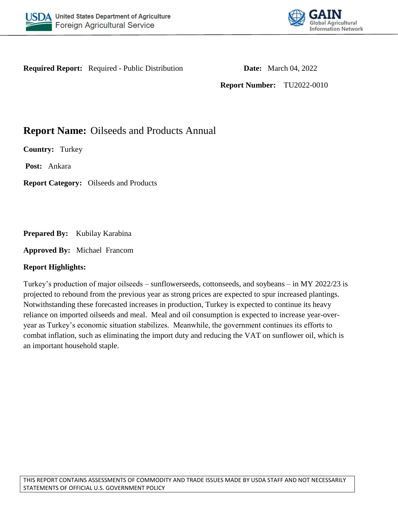



**Required Report:** Required - Public Distribution **Date:** March 04, 2022

**Report Number:** TU2022-0010

# **Report Name:** Oilseeds and Products Annual

**Country:** Turkey

**Post:** Ankara

**Report Category:** Oilseeds and Products

**Prepared By:** Kubilay Karabina

**Approved By:** Michael Francom

## **Report Highlights:**

Turkey's production of major oilseeds – sunflowerseeds, cottonseeds, and soybeans – in MY 2022/23 is projected to rebound from the previous year as strong prices are expected to spur increased plantings. Notwithstanding these forecasted increases in production, Turkey is expected to continue its heavy reliance on imported oilseeds and meal. Meal and oil consumption is expected to increase year-overyear as Turkey's economic situation stabilizes. Meanwhile, the government continues its efforts to combat inflation, such as eliminating the import duty and reducing the VAT on sunflower oil, which is an important household staple.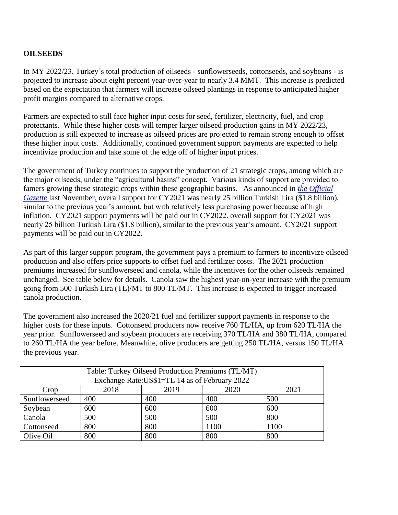# **OILSEEDS**

In MY 2022/23, Turkey's total production of oilseeds - sunflowerseeds, cottonseeds, and soybeans - is projected to increase about eight percent year-over-year to nearly 3.4 MMT. This increase is predicted based on the expectation that farmers will increase oilseed plantings in response to anticipated higher profit margins compared to alternative crops.

Farmers are expected to still face higher input costs for seed, fertilizer, electricity, fuel, and crop protectants. While these higher costs will temper larger oilseed production gains in MY 2022/23, production is still expected to increase as oilseed prices are projected to remain strong enough to offset these higher input costs. Additionally, continued government support payments are expected to help incentivize production and take some of the edge off of higher input prices.

The government of Turkey continues to support the production of 21 strategic crops, among which are the major oilseeds, under the "agricultural basins" concept. Various kinds of support are provided to famers growing these strategic crops within these geographic basins. As announced in *[the Official](https://www.resmigazete.gov.tr/eskiler/2021/11/20211111-5.pdf)  [Gazette](https://www.resmigazete.gov.tr/eskiler/2021/11/20211111-5.pdf)* last November*,* overall support for CY2021 was nearly 25 billion Turkish Lira (\$1.8 billion), similar to the previous year's amount, but with relatively less purchasing power because of high inflation. CY2021 support payments will be paid out in CY2022. overall support for CY2021 was nearly 25 billion Turkish Lira (\$1.8 billion), similar to the previous year's amount. CY2021 support payments will be paid out in CY2022.

As part of this larger support program, the government pays a premium to farmers to incentivize oilseed production and also offers price supports to offset fuel and fertilizer costs. The 2021 production premiums increased for sunflowerseed and canola, while the incentives for the other oilseeds remained unchanged. See table below for details. Canola saw the highest year-on-year increase with the premium going from 500 Turkish Lira (TL)/MT to 800 TL/MT. This increase is expected to trigger increased canola production.

The government also increased the 2020/21 fuel and fertilizer support payments in response to the higher costs for these inputs. Cottonseed producers now receive 760 TL/HA, up from 620 TL/HA the year prior. Sunflowerseed and soybean producers are receiving 370 TL/HA and 380 TL/HA, compared to 260 TL/HA the year before. Meanwhile, olive producers are getting 250 TL/HA, versus 150 TL/HA the previous year.

| Table: Turkey Oilseed Production Premiums (TL/MT)<br>Exchange Rate: US\$1=TL 14 as of February 2022 |     |     |      |      |  |  |  |  |
|-----------------------------------------------------------------------------------------------------|-----|-----|------|------|--|--|--|--|
| 2018<br>2020<br>2019<br>2021<br>Crop                                                                |     |     |      |      |  |  |  |  |
| Sunflowerseed                                                                                       | 400 | 400 | 400  | 500  |  |  |  |  |
| Soybean                                                                                             | 600 | 600 | 600  | 600  |  |  |  |  |
| Canola                                                                                              | 500 | 500 | 500  | 800  |  |  |  |  |
| Cottonseed                                                                                          | 800 | 800 | 1100 | 1100 |  |  |  |  |
| Olive Oil                                                                                           | 800 | 800 | 800  | 800  |  |  |  |  |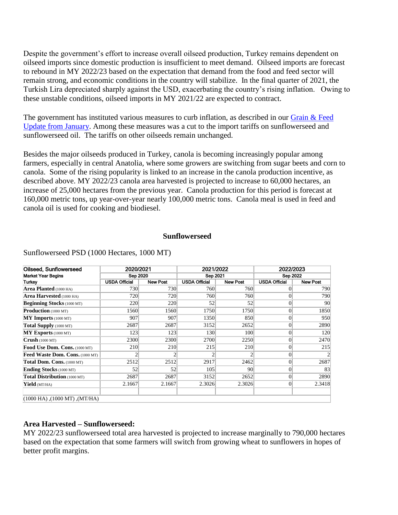Despite the government's effort to increase overall oilseed production, Turkey remains dependent on oilseed imports since domestic production is insufficient to meet demand. Oilseed imports are forecast to rebound in MY 2022/23 based on the expectation that demand from the food and feed sector will remain strong, and economic conditions in the country will stabilize. In the final quarter of 2021, the Turkish Lira depreciated sharply against the USD, exacerbating the country's rising inflation. Owing to these unstable conditions, oilseed imports in MY 2021/22 are expected to contract.

The government has instituted various measures to curb inflation, as described in our Grain & Feed [Update from January.](https://apps.fas.usda.gov/newgainapi/api/Report/DownloadReportByFileName?fileName=Grain%20and%20Feed%20Update_Ankara_Turkey_01-30-2022.pdf) Among these measures was a cut to the import tariffs on sunflowerseed and sunflowerseed oil. The tariffs on other oilseeds remain unchanged.

Besides the major oilseeds produced in Turkey, canola is becoming increasingly popular among farmers, especially in central Anatolia, where some growers are switching from sugar beets and corn to canola. Some of the rising popularity is linked to an increase in the canola production incentive, as described above. MY 2022/23 canola area harvested is projected to increase to 60,000 hectares, an increase of 25,000 hectares from the previous year. Canola production for this period is forecast at 160,000 metric tons, up year-over-year nearly 100,000 metric tons. Canola meal is used in feed and canola oil is used for cooking and biodiesel.

#### **Sunflowerseed**

| Oilseed, Sunflowerseed                 | 2020/2021            |                 | 2021/2022            |                 | 2022/2023            |                 |
|----------------------------------------|----------------------|-----------------|----------------------|-----------------|----------------------|-----------------|
| <b>Market Year Begins</b>              | Sep 2020             |                 | Sep 2021             |                 | Sep 2022             |                 |
| Turkey                                 | <b>USDA Official</b> | <b>New Post</b> | <b>USDA Official</b> | <b>New Post</b> | <b>USDA Official</b> | <b>New Post</b> |
| <b>Area Planted</b> (1000 HA)          | 730                  | 730             | 760                  | 760             |                      | 790             |
| <b>Area Harvested</b> (1000 HA)        | 720                  | 720             | 760                  | 760             | 0                    | 790             |
| <b>Beginning Stocks</b> (1000 MT)      | 220                  | 220             | 52                   | 52              | 0                    | 90              |
| <b>Production</b> (1000 MT)            | 1560                 | 1560            | 1750                 | 1750            | 0                    | 1850            |
| $MY$ Imports (1000 MT)                 | 907                  | 907             | 1350                 | 850             | $\overline{0}$       | 950             |
| Total Supply (1000 MT)                 | 2687                 | 2687            | 3152                 | 2652            | 0                    | 2890            |
| MY Exports (1000 MT)                   | 123                  | 123             | 130                  | 100             | 0                    | 120             |
| Crush(1000 MT)                         | 2300                 | 2300            | 2700                 | 2250            | 0                    | 2470            |
| Food Use Dom. Cons. (1000 MT)          | 210                  | 210             | 215                  | 210             | 0                    | 215             |
| <b>Feed Waste Dom. Cons.</b> (1000 MT) |                      | 2               | 2                    |                 | $\Omega$             | $\overline{c}$  |
| Total Dom. Cons. (1000 MT)             | 2512                 | 2512            | 2917                 | 2462            | 0                    | 2687            |
| <b>Ending Stocks</b> (1000 MT)         | 52                   | 52              | 105                  | 90              | 0                    | 83              |
| Total Distribution (1000 MT)           | 2687                 | 2687            | 3152                 | 2652            |                      | 2890            |
| Yield (MT/HA)                          | 2.1667               | 2.1667          | 2.3026               | 2.3026          | $\overline{0}$       | 2.3418          |
| $(1000$ HA), $(1000$ MT), $(MT/HA)$    |                      |                 |                      |                 |                      |                 |

Sunflowerseed PSD (1000 Hectares, 1000 MT)

#### **Area Harvested – Sunflowerseed:**

MY 2022/23 sunflowerseed total area harvested is projected to increase marginally to 790,000 hectares based on the expectation that some farmers will switch from growing wheat to sunflowers in hopes of better profit margins.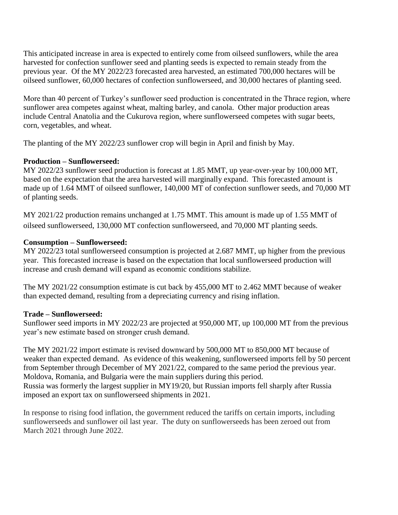This anticipated increase in area is expected to entirely come from oilseed sunflowers, while the area harvested for confection sunflower seed and planting seeds is expected to remain steady from the previous year. Of the MY 2022/23 forecasted area harvested, an estimated 700,000 hectares will be oilseed sunflower, 60,000 hectares of confection sunflowerseed, and 30,000 hectares of planting seed.

More than 40 percent of Turkey's sunflower seed production is concentrated in the Thrace region, where sunflower area competes against wheat, malting barley, and canola. Other major production areas include Central Anatolia and the Cukurova region, where sunflowerseed competes with sugar beets, corn, vegetables, and wheat.

The planting of the MY 2022/23 sunflower crop will begin in April and finish by May.

### **Production – Sunflowerseed:**

MY 2022/23 sunflower seed production is forecast at 1.85 MMT, up year-over-year by 100,000 MT, based on the expectation that the area harvested will marginally expand. This forecasted amount is made up of 1.64 MMT of oilseed sunflower, 140,000 MT of confection sunflower seeds, and 70,000 MT of planting seeds.

MY 2021/22 production remains unchanged at 1.75 MMT. This amount is made up of 1.55 MMT of oilseed sunflowerseed, 130,000 MT confection sunflowerseed, and 70,000 MT planting seeds.

### **Consumption – Sunflowerseed:**

MY 2022/23 total sunflowerseed consumption is projected at 2.687 MMT, up higher from the previous year. This forecasted increase is based on the expectation that local sunflowerseed production will increase and crush demand will expand as economic conditions stabilize.

The MY 2021/22 consumption estimate is cut back by 455,000 MT to 2.462 MMT because of weaker than expected demand, resulting from a depreciating currency and rising inflation.

## **Trade – Sunflowerseed:**

Sunflower seed imports in MY 2022/23 are projected at 950,000 MT, up 100,000 MT from the previous year's new estimate based on stronger crush demand.

The MY 2021/22 import estimate is revised downward by 500,000 MT to 850,000 MT because of weaker than expected demand. As evidence of this weakening, sunflowerseed imports fell by 50 percent from September through December of MY 2021/22, compared to the same period the previous year. Moldova, Romania, and Bulgaria were the main suppliers during this period. Russia was formerly the largest supplier in MY19/20, but Russian imports fell sharply after Russia imposed an export tax on sunflowerseed shipments in 2021.

In response to rising food inflation, the government reduced the tariffs on certain imports, including sunflowerseeds and sunflower oil last year. The duty on sunflowerseeds has been zeroed out from March 2021 through June 2022.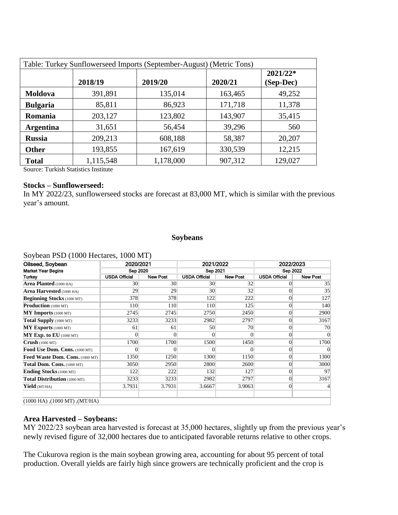| Table: Turkey Sunflowerseed Imports (September-August) (Metric Tons) |           |           |         |                         |  |  |  |  |
|----------------------------------------------------------------------|-----------|-----------|---------|-------------------------|--|--|--|--|
|                                                                      | 2018/19   | 2019/20   | 2020/21 | $2021/22*$<br>(Sep-Dec) |  |  |  |  |
| Moldova                                                              | 391,891   | 135,014   | 163,465 | 49,252                  |  |  |  |  |
| <b>Bulgaria</b>                                                      | 85,811    | 86,923    | 171,718 | 11,378                  |  |  |  |  |
| Romania                                                              | 203,127   | 123,802   | 143,907 | 35,415                  |  |  |  |  |
| <b>Argentina</b>                                                     | 31,651    | 56,454    | 39,296  | 560                     |  |  |  |  |
| <b>Russia</b>                                                        | 209,213   | 608,188   | 58,387  | 20,207                  |  |  |  |  |
| <b>Other</b>                                                         | 193,855   | 167,619   | 330,539 | 12,215                  |  |  |  |  |
| <b>Total</b>                                                         | 1,115,548 | 1,178,000 | 907,312 | 129,027                 |  |  |  |  |

Source: Turkish Statistics Institute

#### **Stocks – Sunflowerseed:**

In MY 2022/23, sunflowerseed stocks are forecast at 83,000 MT, which is similar with the previous year's amount.

#### **Soybeans**

#### Soybean PSD (1000 Hectares, 1000 MT)

| Oilseed, Soybean                    | 2020/2021            |                 | 2021/2022            |                 | 2022/2023<br>Sep 2022 |                 |
|-------------------------------------|----------------------|-----------------|----------------------|-----------------|-----------------------|-----------------|
| <b>Market Year Begins</b>           | Sep 2020             |                 | Sep 2021             |                 |                       |                 |
| Turkey                              | <b>USDA Official</b> | <b>New Post</b> | <b>USDA Official</b> | <b>New Post</b> | <b>USDA Official</b>  | <b>New Post</b> |
| <b>Area Planted</b> (1000 HA)       | 30                   | 30              | 30                   | 32              |                       | 35              |
| Area Harvested (1000 HA)            | 29                   | 29              | 30                   | 32              | $\Omega$              | 35              |
| <b>Beginning Stocks</b> (1000 MT)   | 378                  | 378             | 122                  | 222             |                       | 127             |
| <b>Production</b> (1000 MT)         | 110                  | 110             | 110                  | 125             | $\Omega$              | 140             |
| $MY$ Imports (1000 MT)              | 2745                 | 2745            | 2750                 | 2450            | $\Omega$              | 2900            |
| Total Supply (1000 MT)              | 3233                 | 3233            | 2982                 | 2797            | $\Omega$              | 3167            |
| MY Exports (1000 MT)                | 61                   | 61              | 50                   | 70              | $\vert 0 \vert$       | 70              |
| $MY$ Exp. to EU (1000 MT)           | $\Omega$             |                 | $\theta$             |                 | $\Omega$              |                 |
| Crush(1000 MT)                      | 1700                 | 1700            | 1500                 | 1450            | $\Omega$              | 1700            |
| Food Use Dom. Cons. (1000 MT)       | $\Omega$             |                 | $\theta$             |                 | $\Omega$              |                 |
| Feed Waste Dom. Cons. (1000 MT)     | 1350                 | 1250            | 1300                 | 1150            | $\vert 0 \vert$       | 1300            |
| Total Dom. Cons. (1000 MT)          | 3050                 | 2950            | 2800                 | 2600            | $\Omega$              | 3000            |
| Ending Stocks (1000 MT)             | 122                  | 222             | 132                  | 127             | $\Omega$              | 97              |
| Total Distribution (1000 MT)        | 3233                 | 3233            | 2982                 | 2797            | $\Omega$              | 3167            |
| Yield (MT/HA)                       | 3.7931               | 3.7931          | 3.6667               | 3.9063          | $\Omega$              |                 |
| $(1000$ HA), $(1000$ MT), $(MT/HA)$ |                      |                 |                      |                 |                       |                 |

# **Area Harvested – Soybeans:**

MY 2022/23 soybean area harvested is forecast at 35,000 hectares, slightly up from the previous year's newly revised figure of 32,000 hectares due to anticipated favorable returns relative to other crops.

The Cukurova region is the main soybean growing area, accounting for about 95 percent of total production. Overall yields are fairly high since growers are technically proficient and the crop is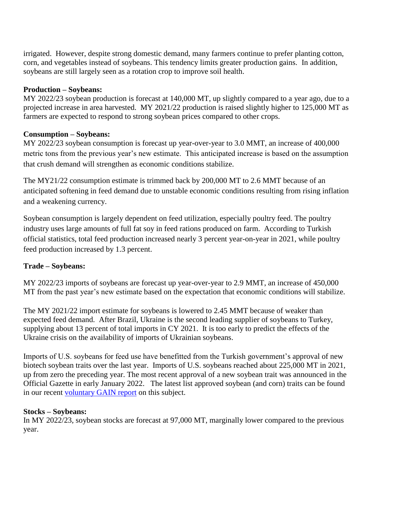irrigated. However, despite strong domestic demand, many farmers continue to prefer planting cotton, corn, and vegetables instead of soybeans. This tendency limits greater production gains. In addition, soybeans are still largely seen as a rotation crop to improve soil health.

### **Production – Soybeans:**

MY 2022/23 soybean production is forecast at 140,000 MT, up slightly compared to a year ago, due to a projected increase in area harvested. MY 2021/22 production is raised slightly higher to 125,000 MT as farmers are expected to respond to strong soybean prices compared to other crops.

## **Consumption – Soybeans:**

MY 2022/23 soybean consumption is forecast up year-over-year to 3.0 MMT, an increase of 400,000 metric tons from the previous year's new estimate. This anticipated increase is based on the assumption that crush demand will strengthen as economic conditions stabilize.

The MY21/22 consumption estimate is trimmed back by 200,000 MT to 2.6 MMT because of an anticipated softening in feed demand due to unstable economic conditions resulting from rising inflation and a weakening currency.

Soybean consumption is largely dependent on feed utilization, especially poultry feed. The poultry industry uses large amounts of full fat soy in feed rations produced on farm. According to Turkish official statistics, total feed production increased nearly 3 percent year-on-year in 2021, while poultry feed production increased by 1.3 percent.

## **Trade – Soybeans:**

MY 2022/23 imports of soybeans are forecast up year-over-year to 2.9 MMT, an increase of 450,000 MT from the past year's new estimate based on the expectation that economic conditions will stabilize.

The MY 2021/22 import estimate for soybeans is lowered to 2.45 MMT because of weaker than expected feed demand. After Brazil, Ukraine is the second leading supplier of soybeans to Turkey, supplying about 13 percent of total imports in CY 2021. It is too early to predict the effects of the Ukraine crisis on the availability of imports of Ukrainian soybeans.

Imports of U.S. soybeans for feed use have benefitted from the Turkish government's approval of new biotech soybean traits over the last year. Imports of U.S. soybeans reached about 225,000 MT in 2021, up from zero the preceding year. The most recent approval of a new soybean trait was announced in the Official Gazette in early January 2022. The latest list approved soybean (and corn) traits can be found in our recent [voluntary GAIN report](https://apps.fas.usda.gov/newgainapi/api/Report/DownloadReportByFileName?fileName=Turkish%20Ministry%20of%20Agriculture%20and%20Forestry%20Approves%20Two%20More%20Biotech%20Events%20for%20Feed%20and%20Genetically%20Engineered%20Aspergillus%20oryzae%20for%20Enzyme%20Production_Ankara_Turkey_01-05-2022) on this subject.

#### **Stocks – Soybeans:**

In MY 2022/23, soybean stocks are forecast at 97,000 MT, marginally lower compared to the previous year.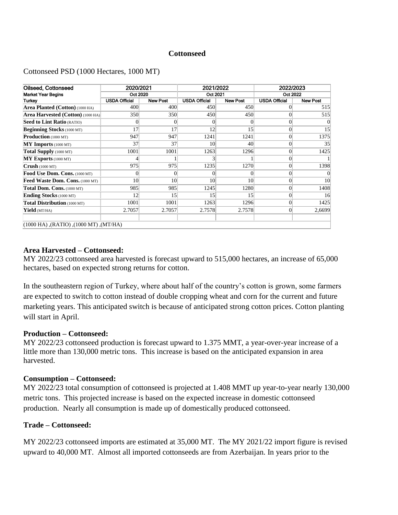### **Cottonseed**

#### Cottonseed PSD (1000 Hectares, 1000 MT)

| Oilseed. Cottonseed                             | 2020/2021            |                 | 2021/2022            |                 | 2022/2023            |                 |  |
|-------------------------------------------------|----------------------|-----------------|----------------------|-----------------|----------------------|-----------------|--|
| <b>Market Year Begins</b>                       | Oct 2020             |                 | Oct 2021             |                 | Oct 2022             |                 |  |
| <b>Turkey</b>                                   | <b>USDA Official</b> | <b>New Post</b> | <b>USDA Official</b> | <b>New Post</b> | <b>USDA Official</b> | <b>New Post</b> |  |
| Area Planted (Cotton) (1000 HA)                 | 400                  | 400             | 450                  | 450             | 0                    | 515             |  |
| Area Harvested (Cotton) (1000 HA)               | 350                  | 350             | 450                  | 450             | $\Omega$             | 515             |  |
| Seed to Lint Ratio (RATIO)                      | 0                    |                 | 0                    | 0               |                      |                 |  |
| <b>Beginning Stocks</b> (1000 MT)               | 17                   | 17              | 12                   | 15              | $\theta$             | 15              |  |
| <b>Production</b> (1000 MT)                     | 947                  | 947             | 1241                 | 1241            | $\theta$             | 1375            |  |
| <b>MY Imports</b> (1000 MT)                     | 37                   | 37              | 10                   | 40              | $\theta$             | 35              |  |
| Total Supply (1000 MT)                          | 1001                 | 1001            | 1263                 | 1296            | $\theta$             | 1425            |  |
| $MY$ Exports (1000 MT)                          |                      |                 | 3                    |                 | $\theta$             |                 |  |
| Crush(1000 MT)                                  | 975                  | 975             | 1235                 | 1270            | $\Omega$             | 1398            |  |
| Food Use Dom. Cons. (1000 MT)                   | 0                    |                 | $\Omega$             | 0               | $\Omega$             |                 |  |
| Feed Waste Dom. Cons. (1000 MT)                 | 10                   | 10              | 10                   | 10              | $\theta$             | 10              |  |
| Total Dom. Cons. (1000 MT)                      | 985                  | 985             | 1245                 | 1280            | $\Omega$             | 1408            |  |
| <b>Ending Stocks</b> (1000 MT)                  | 12                   | 15              | 15                   | 15              | $\theta$             | 16              |  |
| Total Distribution (1000 MT)                    | 1001                 | 1001            | 1263                 | 1296            | $\theta$             | 1425            |  |
| Yield (MT/HA)                                   | 2.7057               | 2.7057          | 2.7578               | 2.7578          | $\theta$             | 2,6699          |  |
| $(1000$ HA), $(RATIO)$ , $(1000$ MT), $(MT/HA)$ |                      |                 |                      |                 |                      |                 |  |

#### **Area Harvested – Cottonseed:**

MY 2022/23 cottonseed area harvested is forecast upward to 515,000 hectares, an increase of 65,000 hectares, based on expected strong returns for cotton.

In the southeastern region of Turkey, where about half of the country's cotton is grown, some farmers are expected to switch to cotton instead of double cropping wheat and corn for the current and future marketing years. This anticipated switch is because of anticipated strong cotton prices. Cotton planting will start in April.

#### **Production – Cottonseed:**

MY 2022/23 cottonseed production is forecast upward to 1.375 MMT, a year-over-year increase of a little more than 130,000 metric tons. This increase is based on the anticipated expansion in area harvested.

#### **Consumption – Cottonseed:**

MY 2022/23 total consumption of cottonseed is projected at 1.408 MMT up year-to-year nearly 130,000 metric tons. This projected increase is based on the expected increase in domestic cottonseed production. Nearly all consumption is made up of domestically produced cottonseed.

#### **Trade – Cottonseed:**

MY 2022/23 cottonseed imports are estimated at 35,000 MT. The MY 2021/22 import figure is revised upward to 40,000 MT. Almost all imported cottonseeds are from Azerbaijan. In years prior to the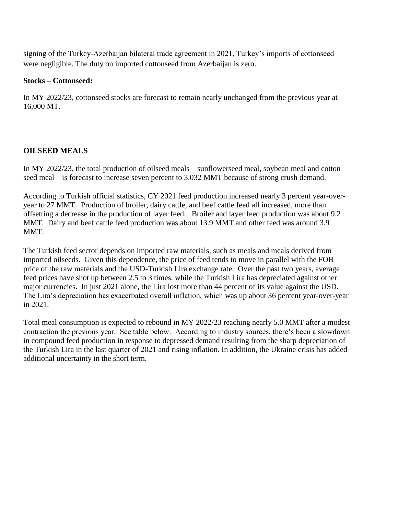signing of the Turkey-Azerbaijan bilateral trade agreement in 2021, Turkey's imports of cottonseed were negligible. The duty on imported cottonseed from Azerbaijan is zero.

### **Stocks – Cottonseed:**

In MY 2022/23, cottonseed stocks are forecast to remain nearly unchanged from the previous year at 16,000 MT.

# **OILSEED MEALS**

In MY 2022/23, the total production of oilseed meals – sunflowerseed meal, soybean meal and cotton seed meal – is forecast to increase seven percent to 3.032 MMT because of strong crush demand.

According to Turkish official statistics, CY 2021 feed production increased nearly 3 percent year-overyear to 27 MMT. Production of broiler, dairy cattle, and beef cattle feed all increased, more than offsetting a decrease in the production of layer feed. Broiler and layer feed production was about 9.2 MMT. Dairy and beef cattle feed production was about 13.9 MMT and other feed was around 3.9 MMT.

The Turkish feed sector depends on imported raw materials, such as meals and meals derived from imported oilseeds. Given this dependence, the price of feed tends to move in parallel with the FOB price of the raw materials and the USD-Turkish Lira exchange rate. Over the past two years, average feed prices have shot up between 2.5 to 3 times, while the Turkish Lira has depreciated against other major currencies. In just 2021 alone, the Lira lost more than 44 percent of its value against the USD. The Lira's depreciation has exacerbated overall inflation, which was up about 36 percent year-over-year in 2021.

Total meal consumption is expected to rebound in MY 2022/23 reaching nearly 5.0 MMT after a modest contraction the previous year. See table below. According to industry sources, there's been a slowdown in compound feed production in response to depressed demand resulting from the sharp depreciation of the Turkish Lira in the last quarter of 2021 and rising inflation. In addition, the Ukraine crisis has added additional uncertainty in the short term.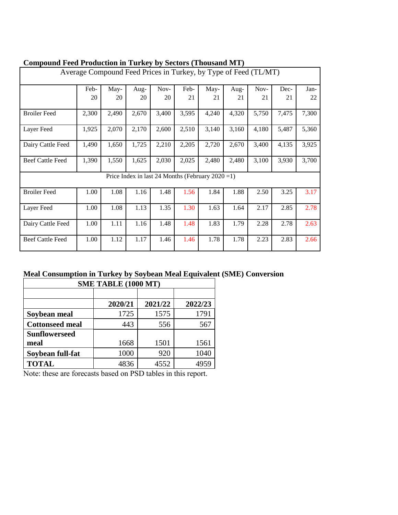| Compound Feed I Founction in Turkey by Sectors (Thousand MTT)   |       |       |       |                                                      |       |       |       |       |       |       |
|-----------------------------------------------------------------|-------|-------|-------|------------------------------------------------------|-------|-------|-------|-------|-------|-------|
| Average Compound Feed Prices in Turkey, by Type of Feed (TL/MT) |       |       |       |                                                      |       |       |       |       |       |       |
|                                                                 | Feb-  | May-  | Aug-  | Nov-                                                 | Feb-  | May-  | Aug-  | Nov-  | Dec-  | Jan-  |
|                                                                 | 20    | 20    | 20    | 20                                                   | 21    | 21    | 21    | 21    | 21    | 22    |
| <b>Broiler Feed</b>                                             | 2,300 | 2,490 | 2,670 | 3,400                                                | 3,595 | 4,240 | 4,320 | 5,750 | 7,475 | 7,300 |
| Layer Feed                                                      | 1,925 | 2,070 | 2,170 | 2,600                                                | 2,510 | 3,140 | 3,160 | 4,180 | 5,487 | 5,360 |
| Dairy Cattle Feed                                               | 1,490 | 1,650 | 1,725 | 2,210                                                | 2,205 | 2,720 | 2,670 | 3,400 | 4,135 | 3,925 |
| <b>Beef Cattle Feed</b>                                         | 1,390 | 1,550 | 1,625 | 2,030                                                | 2,025 | 2,480 | 2,480 | 3,100 | 3,930 | 3,700 |
|                                                                 |       |       |       | Price Index in last 24 Months (February $2020 = 1$ ) |       |       |       |       |       |       |
| <b>Broiler Feed</b>                                             | 1.00  | 1.08  | 1.16  | 1.48                                                 | 1.56  | 1.84  | 1.88  | 2.50  | 3.25  | 3.17  |
| Layer Feed                                                      | 1.00  | 1.08  | 1.13  | 1.35                                                 | 1.30  | 1.63  | 1.64  | 2.17  | 2.85  | 2.78  |
| Dairy Cattle Feed                                               | 1.00  | 1.11  | 1.16  | 1.48                                                 | 1.48  | 1.83  | 1.79  | 2.28  | 2.78  | 2.63  |
| <b>Beef Cattle Feed</b>                                         | 1.00  | 1.12  | 1.17  | 1.46                                                 | 1.46  | 1.78  | 1.78  | 2.23  | 2.83  | 2.66  |

# **Compound Feed Production in Turkey by Sectors (Thousand MT)**

# **Meal Consumption in Turkey by Soybean Meal Equivalent (SME) Conversion**

| SME TABLE (1000 MT)    |         |         |         |  |  |  |  |  |  |
|------------------------|---------|---------|---------|--|--|--|--|--|--|
|                        |         |         |         |  |  |  |  |  |  |
|                        | 2020/21 | 2021/22 | 2022/23 |  |  |  |  |  |  |
| Soybean meal           | 1725    | 1575    | 1791    |  |  |  |  |  |  |
| <b>Cottonseed meal</b> | 443     | 556     | 567     |  |  |  |  |  |  |
| <b>Sunflowerseed</b>   |         |         |         |  |  |  |  |  |  |
| meal                   | 1668    | 1501    | 1561    |  |  |  |  |  |  |
| Soybean full-fat       | 1000    | 920     | 1040    |  |  |  |  |  |  |
| <b>TOTAL</b>           | 4836    | 4552    | 4959    |  |  |  |  |  |  |

Note: these are forecasts based on PSD tables in this report.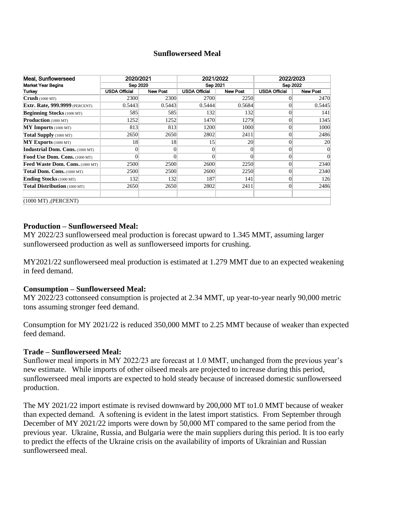#### **Sunflowerseed Meal**

| Meal, Sunflowerseed                    | 2020/2021            |                 | 2021/2022            |                 | 2022/2023            |                 |  |  |  |
|----------------------------------------|----------------------|-----------------|----------------------|-----------------|----------------------|-----------------|--|--|--|
| <b>Market Year Begins</b>              | Sep 2020             |                 | Sep 2021             |                 | Sep 2022             |                 |  |  |  |
| Turkey                                 | <b>USDA Official</b> | <b>New Post</b> | <b>USDA Official</b> | <b>New Post</b> | <b>USDA Official</b> | <b>New Post</b> |  |  |  |
| Crush(1000 MT)                         | 2300                 | 2300            | 2700                 | 2250            |                      | 2470            |  |  |  |
| <b>Extr. Rate, 999.9999</b> (PERCENT)  | 0.5443               | 0.5443          | 0.5444               | 0.5684          | 0                    | 0.5445          |  |  |  |
| <b>Beginning Stocks</b> (1000 MT)      | 585                  | 585             | 132                  | 132             | 0                    | 141             |  |  |  |
| <b>Production</b> (1000 MT)            | 1252                 | 1252            | 1470                 | 1279            | 0                    | 1345            |  |  |  |
| $MY$ Imports (1000 MT)                 | 813                  | 813             | 1200                 | 1000            | $\Omega$             | 1000            |  |  |  |
| Total Supply (1000 MT)                 | 2650                 | 2650            | 2802                 | 2411            | $\Omega$             | 2486            |  |  |  |
| $MY$ Exports (1000 MT)                 | 18                   | 18              | 15                   | 20              | 0                    | 20              |  |  |  |
| <b>Industrial Dom. Cons.</b> (1000 MT) | 0                    | 0               | $\overline{0}$       | $\theta$        | 0                    | 0               |  |  |  |
| Food Use Dom. Cons. (1000 MT)          |                      | $\Omega$        | $\theta$             | $\Omega$        | 0                    | 0               |  |  |  |
| Feed Waste Dom. Cons. (1000 MT)        | 2500                 | 2500            | 2600                 | 2250            | 0                    | 2340            |  |  |  |
| Total Dom. Cons. (1000 MT)             | 2500                 | 2500            | 2600                 | 2250            | 0                    | 2340            |  |  |  |
| <b>Ending Stocks</b> (1000 MT)         | 132                  | 132             | 187                  | 141             | 0                    | 126             |  |  |  |
| Total Distribution (1000 MT)           | 2650                 | 2650            | 2802                 | 2411            | $\theta$             | 2486            |  |  |  |
| $(1000 MT)$ , (PERCENT)                |                      |                 |                      |                 |                      |                 |  |  |  |

#### **Production – Sunflowerseed Meal:**

MY 2022/23 sunflowerseed meal production is forecast upward to 1.345 MMT, assuming larger sunflowerseed production as well as sunflowerseed imports for crushing.

MY2021/22 sunflowerseed meal production is estimated at 1.279 MMT due to an expected weakening in feed demand.

#### **Consumption – Sunflowerseed Meal:**

MY 2022/23 cottonseed consumption is projected at 2.34 MMT, up year-to-year nearly 90,000 metric tons assuming stronger feed demand.

Consumption for MY 2021/22 is reduced 350,000 MMT to 2.25 MMT because of weaker than expected feed demand.

#### **Trade – Sunflowerseed Meal:**

Sunflower meal imports in MY 2022/23 are forecast at 1.0 MMT, unchanged from the previous year's new estimate. While imports of other oilseed meals are projected to increase during this period, sunflowerseed meal imports are expected to hold steady because of increased domestic sunflowerseed production.

The MY 2021/22 import estimate is revised downward by 200,000 MT to1.0 MMT because of weaker than expected demand. A softening is evident in the latest import statistics. From September through December of MY 2021/22 imports were down by 50,000 MT compared to the same period from the previous year. Ukraine, Russia, and Bulgaria were the main suppliers during this period. It is too early to predict the effects of the Ukraine crisis on the availability of imports of Ukrainian and Russian sunflowerseed meal.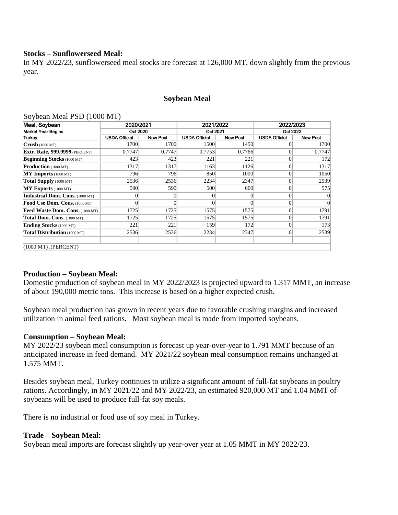#### **Stocks – Sunflowerseed Meal:**

In MY 2022/23, sunflowerseed meal stocks are forecast at 126,000 MT, down slightly from the previous year.

#### **Soybean Meal**

#### Soybean Meal PSD (1000 MT)

| Meal, Soybean                          | 2020/2021            |                 | 2021/2022            |                 | 2022/2023            |                 |  |
|----------------------------------------|----------------------|-----------------|----------------------|-----------------|----------------------|-----------------|--|
| <b>Market Year Begins</b>              | Oct 2020             |                 | Oct 2021             |                 | Oct 2022             |                 |  |
| Turkey                                 | <b>USDA Official</b> | <b>New Post</b> | <b>USDA Official</b> | <b>New Post</b> | <b>USDA Official</b> | <b>New Post</b> |  |
| $Crush$ (1000 MT)                      | 1700                 | 1700            | 1500                 | 1450            |                      | 1700            |  |
| <b>Extr. Rate, 999.9999</b> (PERCENT)  | 0.7747               | 0.7747          | 0.7753               | 0.7766          |                      | 0.7747          |  |
| <b>Beginning Stocks</b> (1000 MT)      | 423                  | 423             | 221                  | 221             |                      | 172             |  |
| Production (1000 MT)                   | 1317                 | 1317            | 1163                 | 1126            | $\Omega$             | 1317            |  |
| $MY$ Imports (1000 MT)                 | 796                  | 796             | 850                  | 1000            | $\Omega$             | 1050            |  |
| Total Supply (1000 MT)                 | 2536                 | 2536            | 2234                 | 2347            | $\Omega$             | 2539            |  |
| MY Exports (1000 MT)                   | 590                  | 590             | 500                  | 600             |                      | 575             |  |
| <b>Industrial Dom. Cons.</b> (1000 MT) |                      | 0               | $\overline{0}$       |                 |                      |                 |  |
| Food Use Dom. Cons. (1000 MT)          |                      | $\Omega$        | $\overline{0}$       |                 | $\Omega$             |                 |  |
| Feed Waste Dom. Cons. (1000 MT)        | 1725                 | 1725            | 1575                 | 1575            | $\Omega$             | 1791            |  |
| Total Dom. Cons. (1000 MT)             | 1725                 | 1725            | 1575                 | 1575            | $\Omega$             | 1791            |  |
| <b>Ending Stocks</b> (1000 MT)         | 221                  | 221             | 159                  | 172             | $\Omega$             | 173             |  |
| Total Distribution (1000 MT)           | 2536                 | 2536            | 2234                 | 2347            | $\Omega$             | 2539            |  |
| $(1000 MT)$ , (PERCENT)                |                      |                 |                      |                 |                      |                 |  |

#### **Production – Soybean Meal:**

Domestic production of soybean meal in MY 2022/2023 is projected upward to 1.317 MMT, an increase of about 190,000 metric tons. This increase is based on a higher expected crush.

Soybean meal production has grown in recent years due to favorable crushing margins and increased utilization in animal feed rations. Most soybean meal is made from imported soybeans.

#### **Consumption – Soybean Meal:**

MY 2022/23 soybean meal consumption is forecast up year-over-year to 1.791 MMT because of an anticipated increase in feed demand. MY 2021/22 soybean meal consumption remains unchanged at 1.575 MMT.

Besides soybean meal, Turkey continues to utilize a significant amount of full-fat soybeans in poultry rations. Accordingly, in MY 2021/22 and MY 2022/23, an estimated 920,000 MT and 1.04 MMT of soybeans will be used to produce full-fat soy meals.

There is no industrial or food use of soy meal in Turkey.

#### **Trade – Soybean Meal:**

Soybean meal imports are forecast slightly up year-over year at 1.05 MMT in MY 2022/23.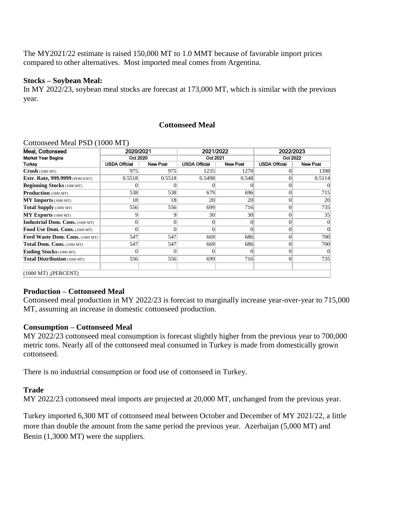The MY2021/22 estimate is raised 150,000 MT to 1.0 MMT because of favorable import prices compared to other alternatives. Most imported meal comes from Argentina.

#### **Stocks – Soybean Meal:**

In MY 2022/23, soybean meal stocks are forecast at 173,000 MT, which is similar with the previous year.

### **Cottonseed Meal**

#### Cottonseed Meal PSD (1000 MT)

| Meal. Cottonseed                       | 2020/2021     |                 | 2021/2022            |                 | 2022/2023            |                 |  |  |  |
|----------------------------------------|---------------|-----------------|----------------------|-----------------|----------------------|-----------------|--|--|--|
| <b>Market Year Begins</b>              | Oct 2020      |                 | Oct 2021             |                 | Oct 2022             |                 |  |  |  |
| Turkey                                 | USDA Official | <b>New Post</b> | <b>USDA Official</b> | <b>New Post</b> | <b>USDA Official</b> | <b>New Post</b> |  |  |  |
| $Crush$ (1000 MT)                      | 975           | 975             | 1235                 | 1270            |                      | 1398            |  |  |  |
| <b>Extr. Rate, 999.9999</b> (PERCENT)  | 0.5518        | 0.5518          | 0.5498               | 0.548           | 0                    | 0.5114          |  |  |  |
| <b>Beginning Stocks</b> (1000 MT)      | 0             |                 | 0                    |                 | 0                    |                 |  |  |  |
| <b>Production</b> (1000 MT)            | 538           | 538             | 679                  | 696             | $\theta$             | 715             |  |  |  |
| $MY$ Imports (1000 MT)                 | 18            | 18              | 20                   | 20              | $\Omega$             | 20              |  |  |  |
| Total Supply (1000 MT)                 | 556           | 556             | 699                  | 716             |                      | 735             |  |  |  |
| MY Exports (1000 MT)                   | 9             | 9               | 30                   | 30 <sup>l</sup> |                      | 35              |  |  |  |
| <b>Industrial Dom. Cons.</b> (1000 MT) | $\Omega$      | 0               | $\overline{0}$       | 0               |                      | $\overline{0}$  |  |  |  |
| Food Use Dom. Cons. (1000 MT)          |               |                 | $\overline{0}$       |                 |                      | $\Omega$        |  |  |  |
| Feed Waste Dom. Cons. (1000 MT)        | 547           | 547             | 669                  | 686             |                      | 700             |  |  |  |
| Total Dom. Cons. (1000 MT)             | 547           | 547             | 669                  | 686             |                      | 700             |  |  |  |
| <b>Ending Stocks</b> (1000 MT)         | 0             | $\Omega$        | $\theta$             |                 |                      | $\Omega$        |  |  |  |
| Total Distribution (1000 MT)           | 556           | 556             | 699                  | 716             | $\Omega$             | 735             |  |  |  |
| $(1000 MT)$ , (PERCENT)                |               |                 |                      |                 |                      |                 |  |  |  |

#### **Production – Cottonseed Meal**

Cottonseed meal production in MY 2022/23 is forecast to marginally increase year-over-year to 715,000 MT, assuming an increase in domestic cottonseed production.

#### **Consumption – Cottonseed Meal**

MY 2022/23 cottonseed meal consumption is forecast slightly higher from the previous year to 700,000 metric tons. Nearly all of the cottonseed meal consumed in Turkey is made from domestically grown cottonseed.

There is no industrial consumption or food use of cottonseed in Turkey.

#### **Trade**

MY 2022/23 cottonseed meal imports are projected at 20,000 MT, unchanged from the previous year.

Turkey imported 6,300 MT of cottonseed meal between October and December of MY 2021/22, a little more than double the amount from the same period the previous year. Azerbaijan (5,000 MT) and Benin (1,3000 MT) were the suppliers.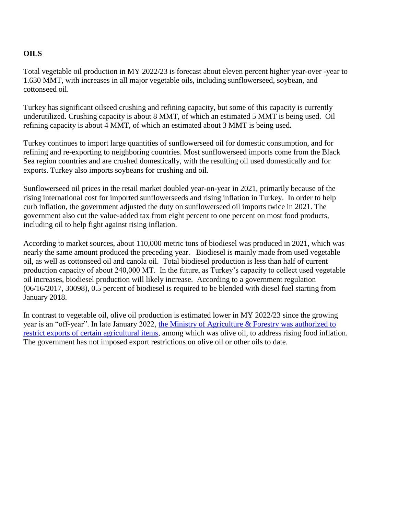# **OILS**

Total vegetable oil production in MY 2022/23 is forecast about eleven percent higher year-over -year to 1.630 MMT, with increases in all major vegetable oils, including sunflowerseed, soybean, and cottonseed oil.

Turkey has significant oilseed crushing and refining capacity, but some of this capacity is currently underutilized. Crushing capacity is about 8 MMT, of which an estimated 5 MMT is being used. Oil refining capacity is about 4 MMT, of which an estimated about 3 MMT is being used**.**

Turkey continues to import large quantities of sunflowerseed oil for domestic consumption, and for refining and re-exporting to neighboring countries. Most sunflowerseed imports come from the Black Sea region countries and are crushed domestically, with the resulting oil used domestically and for exports. Turkey also imports soybeans for crushing and oil.

Sunflowerseed oil prices in the retail market doubled year-on-year in 2021, primarily because of the rising international cost for imported sunflowerseeds and rising inflation in Turkey. In order to help curb inflation, the government adjusted the duty on sunflowerseed oil imports twice in 2021. The government also cut the value-added tax from eight percent to one percent on most food products, including oil to help fight against rising inflation.

According to market sources, about 110,000 metric tons of biodiesel was produced in 2021, which was nearly the same amount produced the preceding year. Biodiesel is mainly made from used vegetable oil, as well as cottonseed oil and canola oil. Total biodiesel production is less than half of current production capacity of about 240,000 MT. In the future, as Turkey's capacity to collect used vegetable oil increases, biodiesel production will likely increase. According to a government regulation (06/16/2017, 30098), 0.5 percent of biodiesel is required to be blended with diesel fuel starting from January 2018.

In contrast to vegetable oil, olive oil production is estimated lower in MY 2022/23 since the growing year is an "off-year". In late January 2022, [the Ministry of Agriculture & Forestry was authorized to](https://apps.fas.usda.gov/newgainapi/api/Report/DownloadReportByFileName?fileName=Turkish%20Ag%20Ministry%20Authorized%20to%20Restrict%20Certain%20Ag%20Exports%20to%20Curb%20Inflation_Ankara_Turkey_01-28-2022.pdf)  [restrict exports of certain agricultural items,](https://apps.fas.usda.gov/newgainapi/api/Report/DownloadReportByFileName?fileName=Turkish%20Ag%20Ministry%20Authorized%20to%20Restrict%20Certain%20Ag%20Exports%20to%20Curb%20Inflation_Ankara_Turkey_01-28-2022.pdf) among which was olive oil, to address rising food inflation. The government has not imposed export restrictions on olive oil or other oils to date.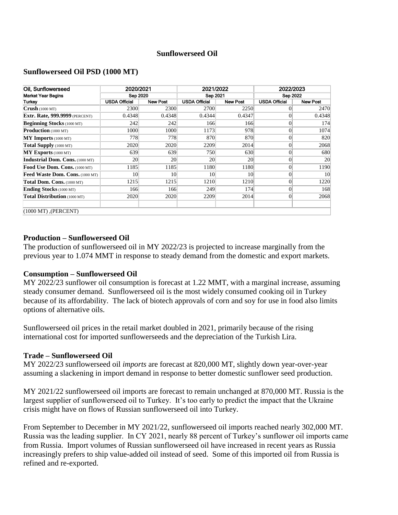### **Sunflowerseed Oil**

#### **Sunflowerseed Oil PSD (1000 MT)**

| Oil, Sunflowerseed                     | 2020/2021            |                 | 2021/2022     |                 | 2022/2023            |                 |  |  |  |
|----------------------------------------|----------------------|-----------------|---------------|-----------------|----------------------|-----------------|--|--|--|
| <b>Market Year Begins</b>              | <b>Sep 2020</b>      |                 | Sep 2021      |                 | <b>Sep 2022</b>      |                 |  |  |  |
| Turkey                                 | <b>USDA Official</b> | <b>New Post</b> | USDA Official | <b>New Post</b> | <b>USDA Official</b> | <b>New Post</b> |  |  |  |
| $Crush$ (1000 MT)                      | 2300                 | 2300            | 2700          | 2250            |                      | 2470            |  |  |  |
| <b>Extr. Rate, 999.9999</b> (PERCENT)  | 0.4348               | 0.4348          | 0.4344        | 0.4347          | $\theta$             | 0.4348          |  |  |  |
| <b>Beginning Stocks</b> (1000 MT)      | 242                  | 242             | 166           | 166             | $\Omega$             | 174             |  |  |  |
| <b>Production</b> (1000 MT)            | 1000                 | 1000            | 1173          | 978             | $\theta$             | 1074            |  |  |  |
| $MY$ Imports (1000 MT)                 | 778                  | 778             | 870           | 870             | $\Omega$             | 820             |  |  |  |
| Total Supply (1000 MT)                 | 2020                 | 2020            | 2209          | 2014            | $\Omega$             | 2068            |  |  |  |
| $MY$ Exports (1000 MT)                 | 639                  | 639             | 750           | 630             | $\Omega$             | 680             |  |  |  |
| <b>Industrial Dom. Cons.</b> (1000 MT) | 20                   | <b>20</b>       | 20            | 20              | $\Omega$             | 20              |  |  |  |
| Food Use Dom. Cons. (1000 MT)          | 1185                 | 1185            | 1180          | 1180            | $\Omega$             | 1190            |  |  |  |
| <b>Feed Waste Dom. Cons.</b> (1000 MT) | 10                   | 10 <sup>l</sup> | 10            | 10              | $\theta$             | 10              |  |  |  |
| Total Dom. Cons. (1000 MT)             | 1215                 | 1215            | 1210          | 1210            | $\theta$             | 1220            |  |  |  |
| <b>Ending Stocks</b> (1000 MT)         | 166                  | 166             | 249           | 174             | $\theta$             | 168             |  |  |  |
| Total Distribution (1000 MT)           | 2020                 | 2020            | 2209          | 2014            | $\theta$             | 2068            |  |  |  |
| $(1000 MT)$ , (PERCENT)                |                      |                 |               |                 |                      |                 |  |  |  |

#### **Production – Sunflowerseed Oil**

The production of sunflowerseed oil in MY 2022/23 is projected to increase marginally from the previous year to 1.074 MMT in response to steady demand from the domestic and export markets.

### **Consumption – Sunflowerseed Oil**

MY 2022/23 sunflower oil consumption is forecast at 1.22 MMT, with a marginal increase, assuming steady consumer demand. Sunflowerseed oil is the most widely consumed cooking oil in Turkey because of its affordability. The lack of biotech approvals of corn and soy for use in food also limits options of alternative oils.

Sunflowerseed oil prices in the retail market doubled in 2021, primarily because of the rising international cost for imported sunflowerseeds and the depreciation of the Turkish Lira.

#### **Trade – Sunflowerseed Oil**

MY 2022/23 sunflowerseed oil *imports* are forecast at 820,000 MT, slightly down year-over-year assuming a slackening in import demand in response to better domestic sunflower seed production.

MY 2021/22 sunflowerseed oil imports are forecast to remain unchanged at 870,000 MT. Russia is the largest supplier of sunflowerseed oil to Turkey. It's too early to predict the impact that the Ukraine crisis might have on flows of Russian sunflowerseed oil into Turkey.

From September to December in MY 2021/22, sunflowerseed oil imports reached nearly 302,000 MT. Russia was the leading supplier. In CY 2021, nearly 88 percent of Turkey's sunflower oil imports came from Russia. Import volumes of Russian sunflowerseed oil have increased in recent years as Russia increasingly prefers to ship value-added oil instead of seed. Some of this imported oil from Russia is refined and re-exported.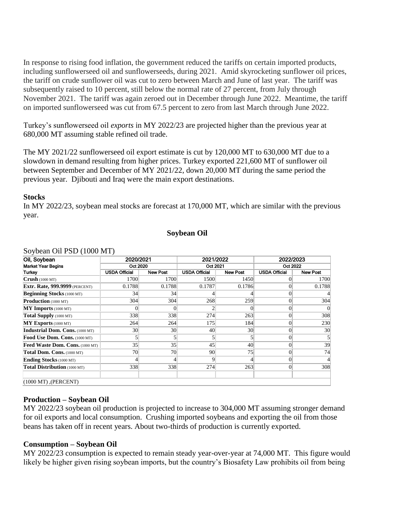In response to rising food inflation, the government reduced the tariffs on certain imported products, including sunflowerseed oil and sunflowerseeds, during 2021. Amid skyrocketing sunflower oil prices, the tariff on crude sunflower oil was cut to zero between March and June of last year. The tariff was subsequently raised to 10 percent, still below the normal rate of 27 percent, from July through November 2021. The tariff was again zeroed out in December through June 2022. Meantime, the tariff on imported sunflowerseed was cut from 67.5 percent to zero from last March through June 2022.

Turkey's sunflowerseed oil *exports* in MY 2022/23 are projected higher than the previous year at 680,000 MT assuming stable refined oil trade.

The MY 2021/22 sunflowerseed oil export estimate is cut by 120,000 MT to 630,000 MT due to a slowdown in demand resulting from higher prices. Turkey exported 221,600 MT of sunflower oil between September and December of MY 2021/22, down 20,000 MT during the same period the previous year. Djibouti and Iraq were the main export destinations.

#### **Stocks**

In MY 2022/23, soybean meal stocks are forecast at 170,000 MT, which are similar with the previous year.

#### **Soybean Oil**

| Oil, Soybean                           | 2020/2021            |                 | 2021/2022            |                 | 2022/2023            |                 |
|----------------------------------------|----------------------|-----------------|----------------------|-----------------|----------------------|-----------------|
| <b>Market Year Begins</b>              | Oct 2020             |                 | Oct 2021             |                 | Oct 2022             |                 |
| Turkey                                 | <b>USDA Official</b> | <b>New Post</b> | <b>USDA Official</b> | <b>New Post</b> | <b>USDA Official</b> | <b>New Post</b> |
| $Crush$ (1000 MT)                      | 1700                 | 1700            | 1500                 | 1450            |                      | 1700            |
| <b>Extr. Rate, 999.9999</b> (PERCENT)  | 0.1788               | 0.1788          | 0.1787               | 0.1786          |                      | 0.1788          |
| <b>Beginning Stocks</b> (1000 MT)      | 34                   | 34              |                      |                 |                      |                 |
| <b>Production</b> (1000 MT)            | 304                  | 304             | 268                  | 259             |                      | 304             |
| $MY$ Imports (1000 MT)                 |                      |                 | 2                    |                 |                      |                 |
| Total Supply (1000 MT)                 | 338                  | 338             | 274                  | 263             |                      | 308             |
| $MY$ Exports (1000 MT)                 | 264                  | 264             | 175                  | 184             |                      | 230             |
| <b>Industrial Dom. Cons.</b> (1000 MT) | 30 <sup>l</sup>      | 30              | 40                   | 30 <sup>l</sup> |                      | 30              |
| Food Use Dom. Cons. (1000 MT)          |                      |                 | 5                    |                 |                      |                 |
| Feed Waste Dom. Cons. (1000 MT)        | 35                   | 35              | 45                   | 40              |                      | 39              |
| Total Dom. Cons. (1000 MT)             | 70                   | 70              | 90                   | 75              |                      | 74              |
| <b>Ending Stocks</b> (1000 MT)         |                      |                 | 9                    |                 |                      |                 |
| Total Distribution (1000 MT)           | 338                  | 338             | 274                  | 263             | $\Omega$             | 308             |
| $(1000 MT)$ , (PERCENT)                |                      |                 |                      |                 |                      |                 |

#### Soybean Oil PSD (1000 MT)

## **Production – Soybean Oil**

MY 2022/23 soybean oil production is projected to increase to 304,000 MT assuming stronger demand for oil exports and local consumption. Crushing imported soybeans and exporting the oil from those beans has taken off in recent years. About two-thirds of production is currently exported.

#### **Consumption – Soybean Oil**

MY 2022/23 consumption is expected to remain steady year-over-year at 74,000 MT. This figure would likely be higher given rising soybean imports, but the country's Biosafety Law prohibits oil from being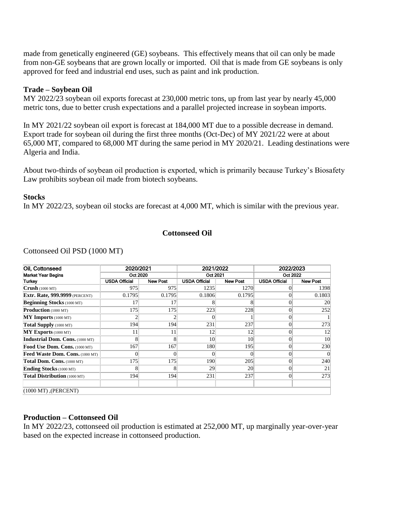made from genetically engineered (GE) soybeans. This effectively means that oil can only be made from non-GE soybeans that are grown locally or imported. Oil that is made from GE soybeans is only approved for feed and industrial end uses, such as paint and ink production.

#### **Trade – Soybean Oil**

MY 2022/23 soybean oil exports forecast at 230,000 metric tons, up from last year by nearly 45,000 metric tons, due to better crush expectations and a parallel projected increase in soybean imports.

In MY 2021/22 soybean oil export is forecast at 184,000 MT due to a possible decrease in demand. Export trade for soybean oil during the first three months (Oct-Dec) of MY 2021/22 were at about 65,000 MT, compared to 68,000 MT during the same period in MY 2020/21. Leading destinations were Algeria and India.

About two-thirds of soybean oil production is exported, which is primarily because Turkey's Biosafety Law prohibits soybean oil made from biotech soybeans.

#### **Stocks**

In MY 2022/23, soybean oil stocks are forecast at 4,000 MT, which is similar with the previous year.

#### **Cottonseed Oil**

| Oil, Cottonseed                        | 2020/2021<br>Oct 2020 |                 | 2021/2022<br>Oct 2021 |                 | 2022/2023<br>Oct 2022 |                 |
|----------------------------------------|-----------------------|-----------------|-----------------------|-----------------|-----------------------|-----------------|
| <b>Market Year Begins</b>              |                       |                 |                       |                 |                       |                 |
| Turkev                                 | <b>USDA Official</b>  | <b>New Post</b> | <b>USDA Official</b>  | <b>New Post</b> | <b>USDA Official</b>  | <b>New Post</b> |
| Crush(1000 MT)                         | 975                   | 975             | 1235                  | 1270            |                       | 1398            |
| Extr. Rate, 999.9999 (PERCENT)         | 0.1795                | 0.1795          | 0.1806                | 0.1795          | 0                     | 0.1803          |
| <b>Beginning Stocks</b> (1000 MT)      | 17                    | 17              | 8                     |                 | 0                     | 20              |
| <b>Production</b> (1000 MT)            | 175                   | 175             | 223                   | 228             | 0                     | 252             |
| $MY$ Imports (1000 MT)                 |                       |                 |                       |                 |                       |                 |
| Total Supply (1000 MT)                 | 194                   | 194             | 231                   | 237             |                       | 273             |
| MY Exports (1000 MT)                   | 11                    | 11              | 12                    | 12              | 0                     | 12              |
| <b>Industrial Dom. Cons.</b> (1000 MT) | 8                     | 8               | 10                    | 10              | 0                     | 10              |
| Food Use Dom. Cons. (1000 MT)          | 167                   | 167             | 180                   | 195             | 0                     | 230             |
| Feed Waste Dom. Cons. (1000 MT)        | $\Omega$              |                 | $\Omega$              | 0               | 0                     | $\overline{0}$  |
| Total Dom. Cons. (1000 MT)             | 175                   | 175             | 190                   | 205             | 0                     | 240             |
| <b>Ending Stocks</b> (1000 MT)         | 8                     | 8               | 29                    | 20              | $\theta$              | 21              |
| Total Distribution (1000 MT)           | 194                   | 194             | 231                   | 237             | 0                     | 273             |
| $(1000 MT)$ , (PERCENT)                |                       |                 |                       |                 |                       |                 |

Cottonseed Oil PSD (1000 MT)

### **Production – Cottonseed Oil**

In MY 2022/23, cottonseed oil production is estimated at 252,000 MT, up marginally year-over-year based on the expected increase in cottonseed production.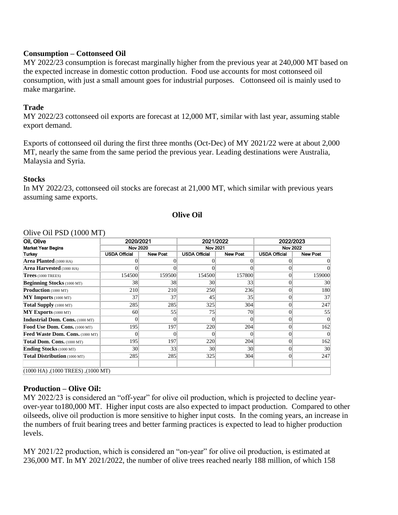## **Consumption – Cottonseed Oil**

MY 2022/23 consumption is forecast marginally higher from the previous year at 240,000 MT based on the expected increase in domestic cotton production. Food use accounts for most cottonseed oil consumption, with just a small amount goes for industrial purposes. Cottonseed oil is mainly used to make margarine.

# **Trade**

MY 2022/23 cottonseed oil exports are forecast at 12,000 MT, similar with last year, assuming stable export demand.

Exports of cottonseed oil during the first three months (Oct-Dec) of MY 2021/22 were at about 2,000 MT, nearly the same from the same period the previous year. Leading destinations were Australia, Malaysia and Syria.

### **Stocks**

In MY 2022/23, cottonseed oil stocks are forecast at 21,000 MT, which similar with previous years assuming same exports.

## **Olive Oil**

| Oil, Olive                         | 2020/2021<br><b>Nov 2020</b> |                 | 2021/2022<br><b>Nov 2021</b> |                 | 2022/2023<br><b>Nov 2022</b> |                 |  |  |  |
|------------------------------------|------------------------------|-----------------|------------------------------|-----------------|------------------------------|-----------------|--|--|--|
| Market Year Begins                 |                              |                 |                              |                 |                              |                 |  |  |  |
| Turkey                             | <b>USDA Official</b>         | <b>New Post</b> | <b>USDA Official</b>         | <b>New Post</b> | <b>USDA Official</b>         | <b>New Post</b> |  |  |  |
| Area Planted (1000 HA)             |                              |                 |                              |                 |                              |                 |  |  |  |
| <b>Area Harvested</b> (1000 HA)    |                              | 0               |                              |                 |                              |                 |  |  |  |
| $Trees$ (1000 TREES)               | 154500                       | 159500          | 154500                       | 157800          | 0                            | 159000          |  |  |  |
| <b>Beginning Stocks</b> (1000 MT)  | 38                           | 38              | 30                           | 33              | 0                            | 30              |  |  |  |
| <b>Production</b> (1000 MT)        | 210                          | 210             | 250                          | 236             |                              | 180             |  |  |  |
| $MY$ Imports (1000 MT)             | 37                           | 37              | 45                           | 35              |                              | 37              |  |  |  |
| Total Supply (1000 MT)             | 285                          | 285             | 325                          | 304             |                              | 247             |  |  |  |
| $MY$ Exports (1000 MT)             | 60                           | 55              | 75                           | 70              | 0                            | 55              |  |  |  |
| Industrial Dom. Cons. (1000 MT)    |                              | $\Omega$        | 0                            |                 | 0                            | 0               |  |  |  |
| Food Use Dom. Cons. (1000 MT)      | 195                          | 197             | 220                          | 204             | $\Omega$                     | 162             |  |  |  |
| Feed Waste Dom. Cons. (1000 MT)    |                              | $\Omega$        | 0                            |                 | 0                            |                 |  |  |  |
| Total Dom. Cons. (1000 MT)         | 195                          | 197             | 220                          | 204             | $\theta$                     | 162             |  |  |  |
| <b>Ending Stocks</b> (1000 MT)     | 30 <sup>l</sup>              | 33              | 30                           | 30 <sup> </sup> | $\Omega$                     | 30              |  |  |  |
| Total Distribution (1000 MT)       | 285                          | 285             | 325                          | 304             | $\Omega$                     | 247             |  |  |  |
|                                    |                              |                 |                              |                 |                              |                 |  |  |  |
| (1000 MT), (1000 TREES), (1000 MT) |                              |                 |                              |                 |                              |                 |  |  |  |

### Olive Oil PSD (1000 MT)

## **Production – Olive Oil:**

MY 2022/23 is considered an "off-year" for olive oil production, which is projected to decline yearover-year to180,000 MT. Higher input costs are also expected to impact production. Compared to other oilseeds, olive oil production is more sensitive to higher input costs. In the coming years, an increase in the numbers of fruit bearing trees and better farming practices is expected to lead to higher production levels.

MY 2021/22 production, which is considered an "on-year" for olive oil production, is estimated at 236,000 MT. In MY 2021/2022, the number of olive trees reached nearly 188 million, of which 158